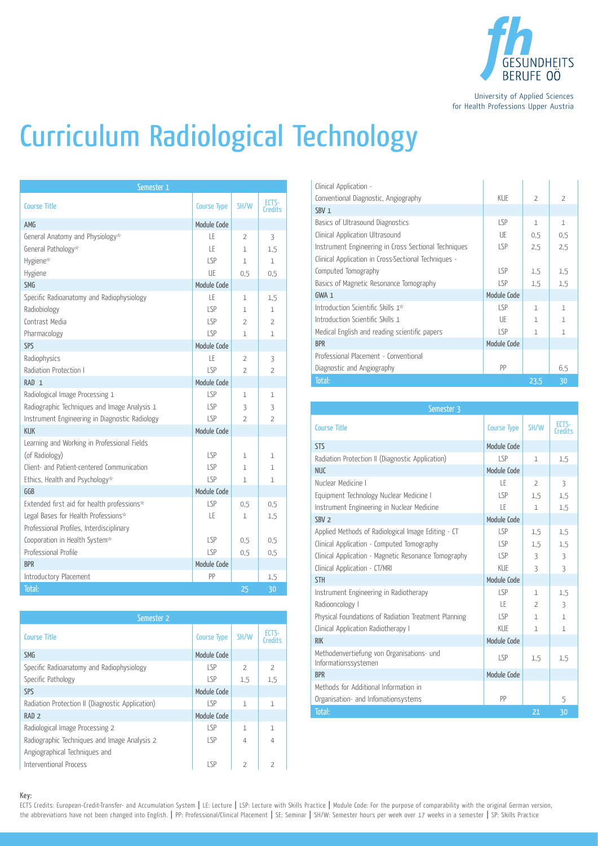

University of Applied Sciences for Health Professions Upper Austria

## Curriculum Radiological Technology

| Semester 1                                     |                    |                          |                         |
|------------------------------------------------|--------------------|--------------------------|-------------------------|
| <b>Course Title</b>                            | <b>Course Type</b> | SH/W                     | ECTS-<br><b>Credits</b> |
| AMG                                            | Module Code        |                          |                         |
| General Anatomy and Physiology*                | ΙF                 | $\overline{2}$           | 3                       |
| General Pathology*                             | LE                 | $\mathbf{1}$             | 1.5                     |
| Hygiene*                                       | LSP                | $\mathbf{1}$             | $\mathbf{1}$            |
| Hygiene                                        | UE                 | 0.5                      | 0.5                     |
| <b>SMG</b>                                     | Module Code        |                          |                         |
| Specific Radioanatomy and Radiophysiology      | LE                 | $\mathbf{1}$             | 1,5                     |
| Radiobiology                                   | LSP                | $\mathbf{1}$             | 1                       |
| Contrast Media                                 | LSP                | 2                        | $\overline{2}$          |
| Pharmacology                                   | SP                 | 1                        | $\mathbf{1}$            |
| SPS                                            | Module Code        |                          |                         |
| Radiophysics                                   | LE                 | $\overline{2}$           | 3                       |
| Radiation Protection I                         | LSP                | $\overline{2}$           | $\overline{2}$          |
| RAD <sub>1</sub>                               | Module Code        |                          |                         |
| Radiological Image Processing 1                | LSP.               | $\mathbf{1}$             | $\mathbf{1}$            |
| Radiographic Techniques and Image Analysis 1   | LSP                | 3                        | 3                       |
| Instrument Engineering in Diagnostic Radiology | SP                 | $\overline{\phantom{a}}$ | $\overline{2}$          |
| <b>KUK</b>                                     | Module Code        |                          |                         |
| Learning and Working in Professional Fields    |                    |                          |                         |
| (of Radiology)                                 | LSP                | 1                        | $\mathbf{1}$            |
| Client- and Patient-centered Communication     | <b>LSP</b>         | 1                        | 1                       |
| Ethics, Health and Psychology*                 | LSP                | $\mathbf{1}$             | $\mathbf{1}$            |
| GGB                                            | Module Code        |                          |                         |
| Extended first aid for health professions*     | LSP                | 0,5                      | 0,5                     |
| Legal Bases for Health Professions*            | LE                 | $\mathbf 1$              | 1,5                     |
| Professional Profiles, Interdisciplinary       |                    |                          |                         |
| Cooporation in Health System*                  | <b>LSP</b>         | 0.5                      | 0,5                     |
| Professional Profile                           | S                  | 0.5                      | 0.5                     |
| <b>BPR</b>                                     | Module Code        |                          |                         |
| Introductory Placement                         | PP                 |                          | 1,5                     |
| Total:                                         |                    | 25                       | 30                      |

| Semester 2                                       |                    |                |                         |  |
|--------------------------------------------------|--------------------|----------------|-------------------------|--|
| <b>Course Title</b>                              | <b>Course Type</b> | SH/W           | ECTS-<br><b>Credits</b> |  |
| <b>SMG</b>                                       | Module Code        |                |                         |  |
| Specific Radioanatomy and Radiophysiology        | LSP                | $\overline{2}$ | $\overline{2}$          |  |
| Specific Pathology                               | LSP                | 1.5            | 1,5                     |  |
| SPS                                              | Module Code        |                |                         |  |
| Radiation Protection II (Diagnostic Application) | $ S_P$             | 1              | 1                       |  |
| RAD <sub>2</sub>                                 | Module Code        |                |                         |  |
| Radiological Image Processing 2                  | S                  | $\mathbf{1}$   | 1                       |  |
| Radiographic Techniques and Image Analysis 2     | I SP               | $\overline{4}$ | 4                       |  |
| Angiographical Techniques and                    |                    |                |                         |  |
| <b>Interventional Process</b>                    | $ S_P$             | $\overline{2}$ | $\overline{2}$          |  |

| Clinical Application -<br>Conventional Diagnostic, Angiography | KUE         | $\overline{\phantom{a}}$ | $\overline{\phantom{a}}$ |
|----------------------------------------------------------------|-------------|--------------------------|--------------------------|
| SBV <sub>1</sub>                                               |             |                          |                          |
| Basics of Ultrasound Diagnostics                               | LSP         | $\mathbf{1}$             | $\mathbf{1}$             |
| Clinical Application Ultrasound                                | UE          | 0.5                      | 0.5                      |
| Instrument Engineering in Cross Sectional Techniques           | LSP         | 2,5                      | 2.5                      |
| Clinical Application in Cross-Sectional Techniques -           |             |                          |                          |
| Computed Tomography                                            | LSP         | 1,5                      | 1.5                      |
| Basics of Magnetic Resonance Tomography                        | LSP         | 1.5                      | 1.5                      |
| $GWA_1$                                                        | Module Code |                          |                          |
| Introduction Scientific Skills 1*                              | LSP         | $\mathbf{1}$             | $\mathbf{1}$             |
| Introduction Scientific Skills 1                               | UE          | 1                        | $\mathbf{1}$             |
| Medical English and reading scientific papers                  | LSP         | 1                        | 1                        |
| <b>BPR</b>                                                     | Module Code |                          |                          |
| Professional Placement - Conventional                          |             |                          |                          |
| Diagnostic and Angiography                                     | PP          |                          | 6.5                      |
| Total:                                                         |             | 23,5                     | 30                       |

| Semester 3                                                        |                    |                |                         |
|-------------------------------------------------------------------|--------------------|----------------|-------------------------|
| <b>Course Title</b>                                               | <b>Course Type</b> | SH/W           | ECTS-<br><b>Credits</b> |
| <b>STS</b>                                                        | Module Code        |                |                         |
| Radiation Protection II (Diagnostic Application)                  | LSP                | $\mathbf{1}$   | 1.5                     |
| <b>NUC</b>                                                        | Module Code        |                |                         |
| Nuclear Medicine I                                                | ΤF                 | $\overline{2}$ | 3                       |
| Equipment Technology Nuclear Medicine I                           | LSP                | 1.5            | 1.5                     |
| Instrument Engineering in Nuclear Medicine                        | LE                 | 1              | 1.5                     |
| SBV <sub>2</sub>                                                  | Module Code        |                |                         |
| Applied Methods of Radiological Image Editing - CT                | LSP                | 1,5            | 1.5                     |
| Clinical Application - Computed Tomography                        | LSP                | 1.5            | 1.5                     |
| Clinical Application - Magnetic Resonance Tomography              | LSP                | 3              | 3                       |
| Clinical Application - CT/MRI                                     | KUE                | 3              | 3                       |
| <b>STH</b>                                                        | Module Code        |                |                         |
| Instrument Engineering in Radiotherapy                            | LSP                | 1              | 1,5                     |
| Radiooncology I                                                   | ΤF                 | $\overline{2}$ | 3                       |
| Physical Foundations of Radiation Treatment Planning              | LSP                | 1              | $\mathbf{1}$            |
| Clinical Application Radiotherapy I                               | KUE                | $\mathbf{1}$   | $\mathbf{1}$            |
| <b>RIK</b>                                                        | Module Code        |                |                         |
| Methodenvertiefung von Organisations- und<br>Informationssystemen | LSP                | 1.5            | 1.5                     |
| <b>BPR</b>                                                        | Module Code        |                |                         |
| Methods for Additional Information in                             |                    |                |                         |
| Organisation- and Infomationsystems                               | PP                 |                | 5                       |
| Total:                                                            |                    | 21             | 30                      |

Key:

ECTS Credits: European-Credit-Transfer- and Accumulation System | LE: Lecture | LSP: Lecture with Skills Practice | Module Code: For the purpose of comparability with the original German version, the abbreviations have not been changed into English. | PP: Professional/Clinical Placement | SE: Seminar | SH/W: Semester hours per week over 17 weeks in a semester | SP: Skills Practice